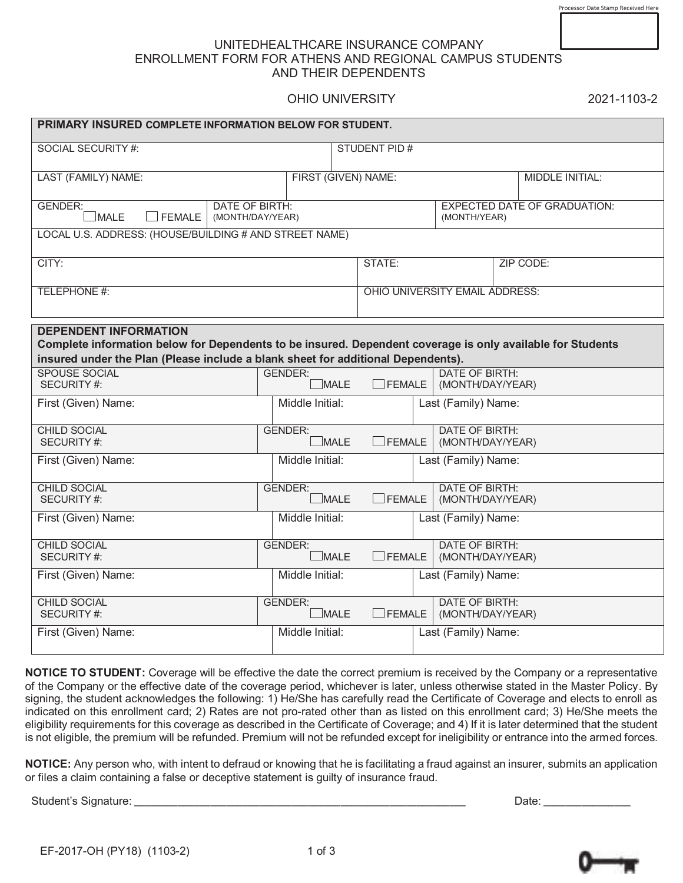## UNITEDHEALTHCARE INSURANCE COMPANY ENROLLMENT FORM FOR ATHENS AND REGIONAL CAMPUS STUDENTS AND THEIR DEPENDENTS

## OHIO UNIVERSITY 2021-1103-2

| PRIMARY INSURED COMPLETE INFORMATION BELOW FOR STUDENT.                                                                                                                                                                        |                                           |                     |                                                     |  |
|--------------------------------------------------------------------------------------------------------------------------------------------------------------------------------------------------------------------------------|-------------------------------------------|---------------------|-----------------------------------------------------|--|
| <b>SOCIAL SECURITY #:</b>                                                                                                                                                                                                      |                                           | <b>STUDENT PID#</b> |                                                     |  |
| LAST (FAMILY) NAME:                                                                                                                                                                                                            | FIRST (GIVEN) NAME:                       |                     | MIDDLE INITIAL:                                     |  |
| <b>GENDER:</b><br>$\Box$ MALE<br><b>FEMALE</b>                                                                                                                                                                                 | <b>DATE OF BIRTH:</b><br>(MONTH/DAY/YEAR) |                     | <b>EXPECTED DATE OF GRADUATION:</b><br>(MONTH/YEAR) |  |
| LOCAL U.S. ADDRESS: (HOUSE/BUILDING # AND STREET NAME)                                                                                                                                                                         |                                           |                     |                                                     |  |
| CITY:                                                                                                                                                                                                                          |                                           | STATE:              | ZIP CODE:                                           |  |
| TELEPHONE #:                                                                                                                                                                                                                   |                                           |                     | OHIO UNIVERSITY EMAIL ADDRESS:                      |  |
| <b>DEPENDENT INFORMATION</b><br>Complete information below for Dependents to be insured. Dependent coverage is only available for Students<br>insured under the Plan (Please include a blank sheet for additional Dependents). |                                           |                     |                                                     |  |
| <b>SPOUSE SOCIAL</b><br><b>SECURITY #:</b>                                                                                                                                                                                     | <b>GENDER:</b><br><b>MALE</b>             | $\Box$ FEMALE       | <b>DATE OF BIRTH:</b><br>(MONTH/DAY/YEAR)           |  |
| First (Given) Name:                                                                                                                                                                                                            | Middle Initial:                           |                     | Last (Family) Name:                                 |  |
| <b>CHILD SOCIAL</b><br>SECURITY #:                                                                                                                                                                                             | <b>GENDER:</b><br>$\Box$ MALE             | $\Box$ FEMALE       | <b>DATE OF BIRTH:</b><br>(MONTH/DAY/YEAR)           |  |
| First (Given) Name:                                                                                                                                                                                                            | Middle Initial:                           |                     | Last (Family) Name:                                 |  |
| <b>CHILD SOCIAL</b><br>SECURITY #:                                                                                                                                                                                             | <b>GENDER:</b><br>$\sqcup$ MALE           | $\Box$ FEMALE       | <b>DATE OF BIRTH:</b><br>(MONTH/DAY/YEAR)           |  |
| First (Given) Name:                                                                                                                                                                                                            | Middle Initial:                           |                     | Last (Family) Name:                                 |  |
| <b>CHILD SOCIAL</b><br>SECURITY #:                                                                                                                                                                                             | <b>GENDER:</b><br>$\Box$ MALE             | $\Box$ FEMALE       | <b>DATE OF BIRTH:</b><br>(MONTH/DAY/YEAR)           |  |
| First (Given) Name:                                                                                                                                                                                                            | Middle Initial:                           |                     | Last (Family) Name:                                 |  |
| <b>CHILD SOCIAL</b><br>SECURITY #:                                                                                                                                                                                             | <b>GENDER:</b><br>$\sqcup$ MALE           | $\Box$ FEMALE       | <b>DATE OF BIRTH:</b><br>(MONTH/DAY/YEAR)           |  |
| First (Given) Name:                                                                                                                                                                                                            | Middle Initial:                           |                     | Last (Family) Name:                                 |  |

**NOTICE TO STUDENT:** Coverage will be effective the date the correct premium is received by the Company or a representative of the Company or the effective date of the coverage period, whichever is later, unless otherwise stated in the Master Policy. By signing, the student acknowledges the following: 1) He/She has carefully read the Certificate of Coverage and elects to enroll as indicated on this enrollment card; 2) Rates are not pro-rated other than as listed on this enrollment card; 3) He/She meets the eligibility requirements for this coverage as described in the Certificate of Coverage; and 4) If it is later determined that the student is not eligible, the premium will be refunded. Premium will not be refunded except for ineligibility or entrance into the armed forces.

**NOTICE:** Any person who, with intent to defraud or knowing that he is facilitating a fraud against an insurer, submits an application or files a claim containing a false or deceptive statement is guilty of insurance fraud.

Student's Signature: \_\_\_\_\_\_\_\_\_\_\_\_\_\_\_\_\_\_\_\_\_\_\_\_\_\_\_\_\_\_\_\_\_\_\_\_\_\_\_\_\_\_\_\_\_\_\_\_\_\_\_\_\_\_\_\_\_\_\_\_\_ Date: \_\_\_\_\_\_\_\_\_\_\_\_\_\_\_\_

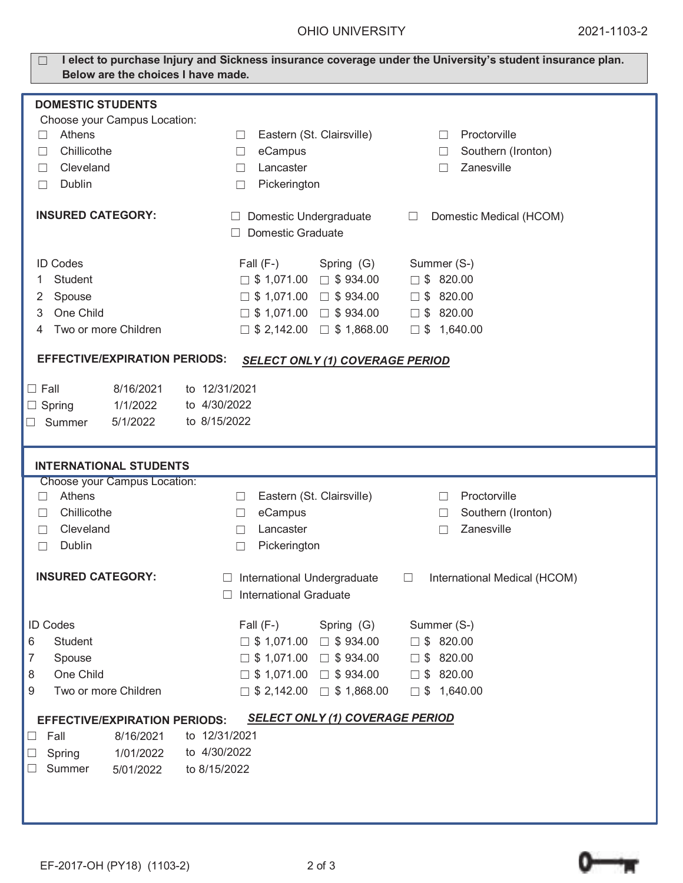| I elect to purchase Injury and Sickness insurance coverage under the University's student insurance plan.<br>Below are the choices I have made. |                                                                                                        |  |  |  |
|-------------------------------------------------------------------------------------------------------------------------------------------------|--------------------------------------------------------------------------------------------------------|--|--|--|
| <b>DOMESTIC STUDENTS</b>                                                                                                                        |                                                                                                        |  |  |  |
| Choose your Campus Location:                                                                                                                    |                                                                                                        |  |  |  |
| Athens<br>П                                                                                                                                     | Proctorville<br>Eastern (St. Clairsville)<br>$\Box$<br>$\Box$                                          |  |  |  |
| Chillicothe<br>П                                                                                                                                | Southern (Ironton)<br>eCampus<br>П<br>П                                                                |  |  |  |
| Cleveland<br>$\Box$                                                                                                                             | Zanesville<br>Lancaster<br>П<br>$\perp$                                                                |  |  |  |
| <b>Dublin</b><br>□                                                                                                                              | Pickerington<br>$\Box$                                                                                 |  |  |  |
| <b>INSURED CATEGORY:</b>                                                                                                                        | Domestic Undergraduate<br>Domestic Medical (HCOM)<br>Ш<br>⊔<br><b>Domestic Graduate</b>                |  |  |  |
| <b>ID Codes</b>                                                                                                                                 | Fall $(F-)$<br>Summer (S-)<br>Spring (G)                                                               |  |  |  |
| Student<br>1                                                                                                                                    | $\Box$ \$ 820.00<br>$\Box$ \$ 1,071.00 $\Box$ \$ 934.00                                                |  |  |  |
| Spouse<br>2                                                                                                                                     | $\Box$ \$ 820.00<br>$\Box$ \$ 1,071.00<br>$\Box$ \$934.00                                              |  |  |  |
| One Child<br>3                                                                                                                                  | $\Box$ \$ 1,071.00 $\Box$ \$ 934.00<br>$\square$ \$ 820.00                                             |  |  |  |
| Two or more Children                                                                                                                            | $\Box$ \$ 2,142.00 $\Box$ \$ 1,868.00<br>$\Box$ \$ 1,640.00                                            |  |  |  |
| <b>EFFECTIVE/EXPIRATION PERIODS:</b><br><b>SELECT ONLY (1) COVERAGE PERIOD</b>                                                                  |                                                                                                        |  |  |  |
| $\Box$ Fall<br>8/16/2021                                                                                                                        | to 12/31/2021                                                                                          |  |  |  |
| 1/1/2022<br>$\Box$ Spring                                                                                                                       | to 4/30/2022                                                                                           |  |  |  |
| 5/1/2022<br>$\Box$ Summer                                                                                                                       | to 8/15/2022                                                                                           |  |  |  |
|                                                                                                                                                 |                                                                                                        |  |  |  |
| <b>INTERNATIONAL STUDENTS</b>                                                                                                                   |                                                                                                        |  |  |  |
| <b>Choose your Campus Location:</b>                                                                                                             |                                                                                                        |  |  |  |
| Athens<br>$\Box$<br>Chillicothe                                                                                                                 | Proctorville<br>Eastern (St. Clairsville)<br>$\Box$<br>П                                               |  |  |  |
| П<br>Cleveland<br>П                                                                                                                             | eCampus<br>Southern (Ironton)<br>$\Box$<br>$\Box$<br>Zanesville<br>Lancaster<br>П<br>$\perp$           |  |  |  |
| Dublin<br>□                                                                                                                                     | Pickerington<br>$\Box$                                                                                 |  |  |  |
|                                                                                                                                                 |                                                                                                        |  |  |  |
| <b>INSURED CATEGORY:</b>                                                                                                                        | International Undergraduate<br>International Medical (HCOM)<br>⊑<br>⊔<br><b>International Graduate</b> |  |  |  |
| <b>ID Codes</b>                                                                                                                                 | Fall $(F-)$<br>Summer (S-)<br>Spring (G)                                                               |  |  |  |
| Student<br>6                                                                                                                                    | $\Box$ \$ 820.00<br>$\Box$ \$ 1,071.00 $\Box$ \$ 934.00                                                |  |  |  |
| Spouse<br>7                                                                                                                                     | $\Box$ \$ 1,071.00 $\Box$ \$ 934.00<br>\$820.00<br>$\Box$                                              |  |  |  |
| One Child<br>8                                                                                                                                  | $\Box$ \$ 1,071.00 $\Box$ \$ 934.00<br>$\Box$ \$ 820.00                                                |  |  |  |
| Two or more Children<br>9                                                                                                                       | $\Box$ \$ 2,142.00<br>$\Box$ \$ 1,868.00<br>$\Box$ \$ 1,640.00                                         |  |  |  |
| <b>SELECT ONLY (1) COVERAGE PERIOD</b><br><b>EFFECTIVE/EXPIRATION PERIODS:</b>                                                                  |                                                                                                        |  |  |  |
| 8/16/2021<br>Fall<br>⊔                                                                                                                          | to 12/31/2021                                                                                          |  |  |  |
| 1/01/2022<br>Spring<br>Ц                                                                                                                        | to 4/30/2022                                                                                           |  |  |  |
| Summer<br>5/01/2022                                                                                                                             | to 8/15/2022                                                                                           |  |  |  |
|                                                                                                                                                 |                                                                                                        |  |  |  |